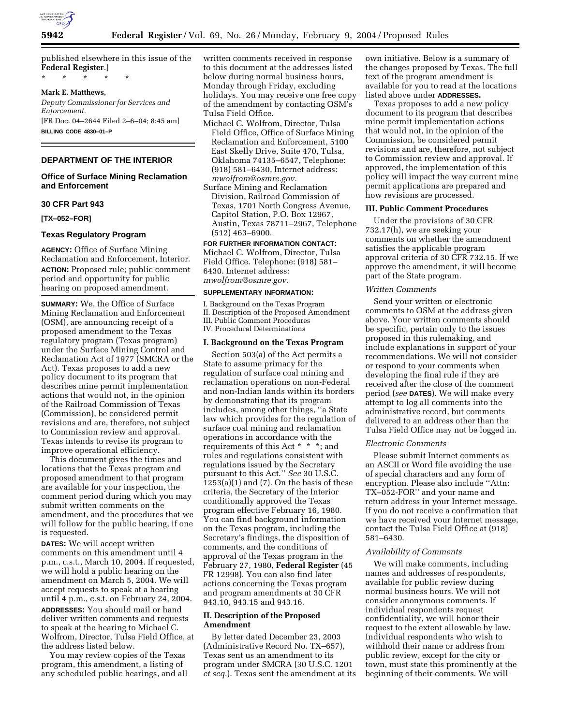

published elsewhere in this issue of the **Federal Register**.] \* \* \* \* \*

#### **Mark E. Matthews,**

*Deputy Commissioner for Services and Enforcement.* [FR Doc. 04–2644 Filed 2–6–04; 8:45 am] **BILLING CODE 4830–01–P**

# **DEPARTMENT OF THE INTERIOR**

# **Office of Surface Mining Reclamation and Enforcement**

# **30 CFR Part 943**

**[TX–052–FOR]** 

# **Texas Regulatory Program**

**AGENCY:** Office of Surface Mining Reclamation and Enforcement, Interior. **ACTION:** Proposed rule; public comment period and opportunity for public hearing on proposed amendment.

**SUMMARY:** We, the Office of Surface Mining Reclamation and Enforcement (OSM), are announcing receipt of a proposed amendment to the Texas regulatory program (Texas program) under the Surface Mining Control and Reclamation Act of 1977 (SMCRA or the Act). Texas proposes to add a new policy document to its program that describes mine permit implementation actions that would not, in the opinion of the Railroad Commission of Texas (Commission), be considered permit revisions and are, therefore, not subject to Commission review and approval. Texas intends to revise its program to improve operational efficiency.

This document gives the times and locations that the Texas program and proposed amendment to that program are available for your inspection, the comment period during which you may submit written comments on the amendment, and the procedures that we will follow for the public hearing, if one is requested.

**DATES:** We will accept written comments on this amendment until 4 p.m., c.s.t., March 10, 2004. If requested, we will hold a public hearing on the amendment on March 5, 2004. We will accept requests to speak at a hearing until 4 p.m., c.s.t. on February 24, 2004. **ADDRESSES:** You should mail or hand deliver written comments and requests to speak at the hearing to Michael C. Wolfrom, Director, Tulsa Field Office, at the address listed below.

You may review copies of the Texas program, this amendment, a listing of any scheduled public hearings, and all written comments received in response to this document at the addresses listed below during normal business hours, Monday through Friday, excluding holidays. You may receive one free copy of the amendment by contacting OSM's Tulsa Field Office.

- Michael C. Wolfrom, Director, Tulsa Field Office, Office of Surface Mining Reclamation and Enforcement, 5100 East Skelly Drive, Suite 470, Tulsa, Oklahoma 74135–6547, Telephone: (918) 581–6430, Internet address: *mwolfrom@osmre.gov.*
- Surface Mining and Reclamation Division, Railroad Commission of Texas, 1701 North Congress Avenue, Capitol Station, P.O. Box 12967, Austin, Texas 78711–2967, Telephone (512) 463–6900.

# **FOR FURTHER INFORMATION CONTACT:**

Michael C. Wolfrom, Director, Tulsa Field Office. Telephone: (918) 581– 6430. Internet address: *mwolfrom@osmre.gov.*

#### **SUPPLEMENTARY INFORMATION:**

I. Background on the Texas Program II. Description of the Proposed Amendment III. Public Comment Procedures IV. Procedural Determinations

## **I. Background on the Texas Program**

Section 503(a) of the Act permits a State to assume primacy for the regulation of surface coal mining and reclamation operations on non-Federal and non-Indian lands within its borders by demonstrating that its program includes, among other things, ''a State law which provides for the regulation of surface coal mining and reclamation operations in accordance with the requirements of this Act \* \* \*; and rules and regulations consistent with regulations issued by the Secretary pursuant to this Act.'' *See* 30 U.S.C.  $1253(a)(1)$  and  $(7)$ . On the basis of these criteria, the Secretary of the Interior conditionally approved the Texas program effective February 16, 1980. You can find background information on the Texas program, including the Secretary's findings, the disposition of comments, and the conditions of approval of the Texas program in the February 27, 1980, **Federal Register** (45 FR 12998). You can also find later actions concerning the Texas program and program amendments at 30 CFR 943.10, 943.15 and 943.16.

# **II. Description of the Proposed Amendment**

By letter dated December 23, 2003 (Administrative Record No. TX–657), Texas sent us an amendment to its program under SMCRA (30 U.S.C. 1201 *et seq.*). Texas sent the amendment at its

own initiative. Below is a summary of the changes proposed by Texas. The full text of the program amendment is available for you to read at the locations listed above under **ADDRESSES.**

Texas proposes to add a new policy document to its program that describes mine permit implementation actions that would not, in the opinion of the Commission, be considered permit revisions and are, therefore, not subject to Commission review and approval. If approved, the implementation of this policy will impact the way current mine permit applications are prepared and how revisions are processed.

#### **III. Public Comment Procedures**

Under the provisions of 30 CFR 732.17(h), we are seeking your comments on whether the amendment satisfies the applicable program approval criteria of 30 CFR 732.15. If we approve the amendment, it will become part of the State program.

#### *Written Comments*

Send your written or electronic comments to OSM at the address given above. Your written comments should be specific, pertain only to the issues proposed in this rulemaking, and include explanations in support of your recommendations. We will not consider or respond to your comments when developing the final rule if they are received after the close of the comment period (*see* **DATES**). We will make every attempt to log all comments into the administrative record, but comments delivered to an address other than the Tulsa Field Office may not be logged in.

#### *Electronic Comments*

Please submit Internet comments as an ASCII or Word file avoiding the use of special characters and any form of encryption. Please also include ''Attn: TX–052-FOR'' and your name and return address in your Internet message. If you do not receive a confirmation that we have received your Internet message, contact the Tulsa Field Office at (918) 581–6430.

## *Availability of Comments*

We will make comments, including names and addresses of respondents, available for public review during normal business hours. We will not consider anonymous comments. If individual respondents request confidentiality, we will honor their request to the extent allowable by law. Individual respondents who wish to withhold their name or address from public review, except for the city or town, must state this prominently at the beginning of their comments. We will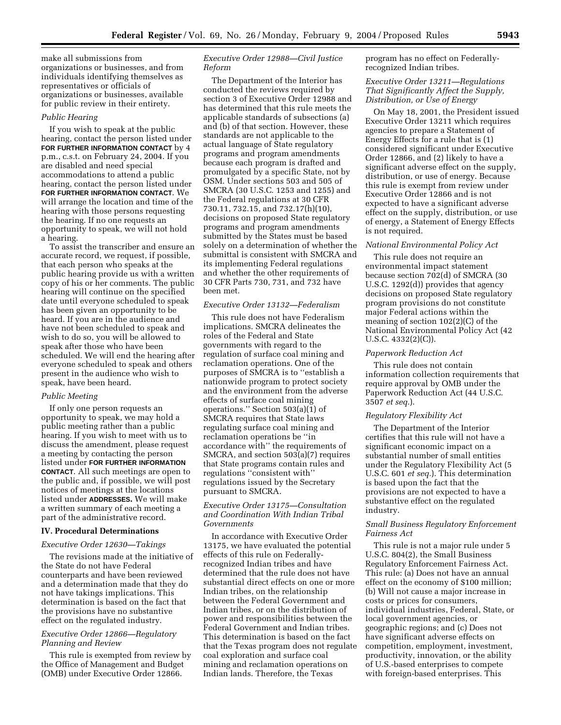make all submissions from organizations or businesses, and from individuals identifying themselves as representatives or officials of organizations or businesses, available for public review in their entirety.

## *Public Hearing*

If you wish to speak at the public hearing, contact the person listed under **FOR FURTHER INFORMATION CONTACT** by 4 p.m., c.s.t. on February 24, 2004. If you are disabled and need special accommodations to attend a public hearing, contact the person listed under **FOR FURTHER INFORMATION CONTACT**. We will arrange the location and time of the hearing with those persons requesting the hearing. If no one requests an opportunity to speak, we will not hold a hearing.

To assist the transcriber and ensure an accurate record, we request, if possible, that each person who speaks at the public hearing provide us with a written copy of his or her comments. The public hearing will continue on the specified date until everyone scheduled to speak has been given an opportunity to be heard. If you are in the audience and have not been scheduled to speak and wish to do so, you will be allowed to speak after those who have been scheduled. We will end the hearing after everyone scheduled to speak and others present in the audience who wish to speak, have been heard.

## *Public Meeting*

If only one person requests an opportunity to speak, we may hold a public meeting rather than a public hearing. If you wish to meet with us to discuss the amendment, please request a meeting by contacting the person listed under **FOR FURTHER INFORMATION CONTACT**. All such meetings are open to the public and, if possible, we will post notices of meetings at the locations listed under **ADDRESSES.** We will make a written summary of each meeting a part of the administrative record.

## **IV. Procedural Determinations**

#### *Executive Order 12630—Takings*

The revisions made at the initiative of the State do not have Federal counterparts and have been reviewed and a determination made that they do not have takings implications. This determination is based on the fact that the provisions have no substantive effect on the regulated industry.

# *Executive Order 12866—Regulatory Planning and Review*

This rule is exempted from review by the Office of Management and Budget (OMB) under Executive Order 12866.

# *Executive Order 12988—Civil Justice Reform*

The Department of the Interior has conducted the reviews required by section 3 of Executive Order 12988 and has determined that this rule meets the applicable standards of subsections (a) and (b) of that section. However, these standards are not applicable to the actual language of State regulatory programs and program amendments because each program is drafted and promulgated by a specific State, not by OSM. Under sections 503 and 505 of SMCRA (30 U.S.C. 1253 and 1255) and the Federal regulations at 30 CFR 730.11, 732.15, and 732.17(h)(10), decisions on proposed State regulatory programs and program amendments submitted by the States must be based solely on a determination of whether the submittal is consistent with SMCRA and its implementing Federal regulations and whether the other requirements of 30 CFR Parts 730, 731, and 732 have been met.

## *Executive Order 13132—Federalism*

This rule does not have Federalism implications. SMCRA delineates the roles of the Federal and State governments with regard to the regulation of surface coal mining and reclamation operations. One of the purposes of SMCRA is to ''establish a nationwide program to protect society and the environment from the adverse effects of surface coal mining operations.'' Section 503(a)(1) of SMCRA requires that State laws regulating surface coal mining and reclamation operations be ''in accordance with'' the requirements of SMCRA, and section 503(a)(7) requires that State programs contain rules and regulations ''consistent with'' regulations issued by the Secretary pursuant to SMCRA.

# *Executive Order 13175—Consultation and Coordination With Indian Tribal Governments*

In accordance with Executive Order 13175, we have evaluated the potential effects of this rule on Federallyrecognized Indian tribes and have determined that the rule does not have substantial direct effects on one or more Indian tribes, on the relationship between the Federal Government and Indian tribes, or on the distribution of power and responsibilities between the Federal Government and Indian tribes. This determination is based on the fact that the Texas program does not regulate coal exploration and surface coal mining and reclamation operations on Indian lands. Therefore, the Texas

program has no effect on Federallyrecognized Indian tribes.

# *Executive Order 13211—Regulations That Significantly Affect the Supply, Distribution, or Use of Energy*

On May 18, 2001, the President issued Executive Order 13211 which requires agencies to prepare a Statement of Energy Effects for a rule that is (1) considered significant under Executive Order 12866, and (2) likely to have a significant adverse effect on the supply, distribution, or use of energy. Because this rule is exempt from review under Executive Order 12866 and is not expected to have a significant adverse effect on the supply, distribution, or use of energy, a Statement of Energy Effects is not required.

# *National Environmental Policy Act*

This rule does not require an environmental impact statement because section 702(d) of SMCRA (30 U.S.C. 1292(d)) provides that agency decisions on proposed State regulatory program provisions do not constitute major Federal actions within the meaning of section 102(2)(C) of the National Environmental Policy Act (42 U.S.C. 4332(2)(C)).

## *Paperwork Reduction Act*

This rule does not contain information collection requirements that require approval by OMB under the Paperwork Reduction Act (44 U.S.C. 3507 *et seq.*).

## *Regulatory Flexibility Act*

The Department of the Interior certifies that this rule will not have a significant economic impact on a substantial number of small entities under the Regulatory Flexibility Act (5 U.S.C. 601 *et seq.*). This determination is based upon the fact that the provisions are not expected to have a substantive effect on the regulated industry.

# *Small Business Regulatory Enforcement Fairness Act*

This rule is not a major rule under 5 U.S.C. 804(2), the Small Business Regulatory Enforcement Fairness Act. This rule: (a) Does not have an annual effect on the economy of \$100 million; (b) Will not cause a major increase in costs or prices for consumers, individual industries, Federal, State, or local government agencies, or geographic regions; and (c) Does not have significant adverse effects on competition, employment, investment, productivity, innovation, or the ability of U.S.-based enterprises to compete with foreign-based enterprises. This